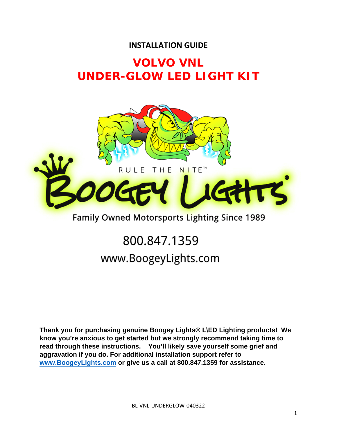### **INSTALLATION GUIDE**

# **VOLVO VNL UNDER-GLOW LED LIGHT KIT**



# Family Owned Motorsports Lighting Since 1989

# 800.847.1359 www.BoogeyLights.com

**Thank you for purchasing genuine Boogey Lights® L\ED Lighting products! We know you're anxious to get started but we strongly recommend taking time to read through these instructions. You'll likely save yourself some grief and aggravation if you do. For additional installation support refer to www.BoogeyLights.com or give us a call at 800.847.1359 for assistance.**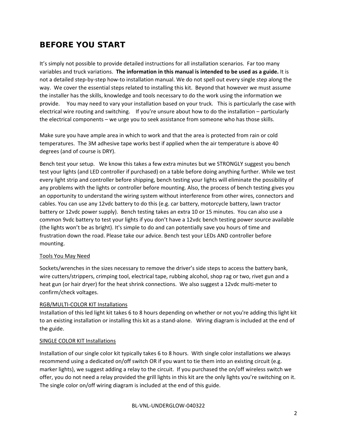## **BEFORE YOU START**

It's simply not possible to provide detailed instructions for all installation scenarios. Far too many variables and truck variations. **The information in this manual is intended to be used as a guide.** It is not a detailed step‐by‐step how‐to installation manual. We do not spell out every single step along the way. We cover the essential steps related to installing this kit. Beyond that however we must assume the installer has the skills, knowledge and tools necessary to do the work using the information we provide. You may need to vary your installation based on your truck. This is particularly the case with electrical wire routing and switching. If you're unsure about how to do the installation – particularly the electrical components – we urge you to seek assistance from someone who has those skills.

Make sure you have ample area in which to work and that the area is protected from rain or cold temperatures. The 3M adhesive tape works best if applied when the air temperature is above 40 degrees (and of course is DRY).

Bench test your setup. We know this takes a few extra minutes but we STRONGLY suggest you bench test your lights (and LED controller if purchased) on a table before doing anything further. While we test every light strip and controller before shipping, bench testing your lights will eliminate the possibility of any problems with the lights or controller before mounting. Also, the process of bench testing gives you an opportunity to understand the wiring system without interference from other wires, connectors and cables. You can use any 12vdc battery to do this (e.g. car battery, motorcycle battery, lawn tractor battery or 12vdc power supply). Bench testing takes an extra 10 or 15 minutes. You can also use a common 9vdc battery to test your lights if you don't have a 12vdc bench testing power source available (the lights won't be as bright). It's simple to do and can potentially save you hours of time and frustration down the road. Please take our advice. Bench test your LEDs AND controller before mounting.

#### Tools You May Need

Sockets/wrenches in the sizes necessary to remove the driver's side steps to access the battery bank, wire cutters/strippers, crimping tool, electrical tape, rubbing alcohol, shop rag or two, rivet gun and a heat gun (or hair dryer) for the heat shrink connections. We also suggest a 12vdc multi-meter to confirm/check voltages.

#### RGB/MULTI‐COLOR KIT Installations

Installation of this led light kit takes 6 to 8 hours depending on whether or not you're adding this light kit to an existing installation or installing this kit as a stand-alone. Wiring diagram is included at the end of the guide.

#### SINGLE COLOR KIT Installations

Installation of our single color kit typically takes 6 to 8 hours. With single color installations we always recommend using a dedicated on/off switch OR if you want to tie them into an existing circuit (e.g. marker lights), we suggest adding a relay to the circuit. If you purchased the on/off wireless switch we offer, you do not need a relay provided the grill lights in this kit are the only lights you're switching on it. The single color on/off wiring diagram is included at the end of this guide.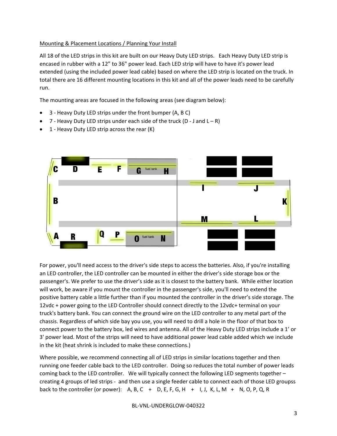#### Mounting & Placement Locations / Planning Your Install

All 18 of the LED strips in this kit are built on our Heavy Duty LED strips. Each Heavy Duty LED strip is encased in rubber with a 12" to 36" power lead. Each LED strip will have to have it's power lead extended (using the included power lead cable) based on where the LED strip is located on the truck. In total there are 16 different mounting locations in this kit and all of the power leads need to be carefully run.

The mounting areas are focused in the following areas (see diagram below):

- 3 ‐ Heavy Duty LED strips under the front bumper (A, B C)
- 7 Heavy Duty LED strips under each side of the truck (D J and  $L R$ )
- 1 ‐ Heavy Duty LED strip across the rear (K)



For power, you'll need access to the driver's side steps to access the batteries. Also, if you're installing an LED controller, the LED controller can be mounted in either the driver's side storage box or the passenger's. We prefer to use the driver's side as it is closest to the battery bank. While either location will work, be aware if you mount the controller in the passenger's side, you'll need to extend the positive battery cable a little further than if you mounted the controller in the driver's side storage. The 12vdc + power going to the LED Controller should connect directly to the 12vdc+ terminal on your truck's battery bank. You can connect the ground wire on the LED controller to any metal part of the chassis. Regardless of which side bay you use, you will need to drill a hole in the floor of that box to connect power to the battery box, led wires and antenna. All of the Heavy Duty LED strips include a 1' or 3' power lead. Most of the strips will need to have additional power lead cable added which we include in the kit (heat shrink is included to make these connections.)

Where possible, we recommend connecting all of LED strips in similar locations together and then running one feeder cable back to the LED controller. Doing so reduces the total number of power leads coming back to the LED controller. We will typically connect the following LED segments together – creating 4 groups of led strips ‐ and then use a single feeder cable to connect each of those LED groupss back to the controller (or power): A, B, C + D, E, F, G, H + I, J, K, L, M + N, O, P, Q, R

BL‐VNL‐UNDERGLOW‐040322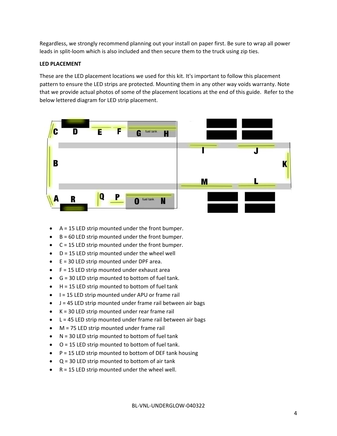Regardless, we strongly recommend planning out your install on paper first. Be sure to wrap all power leads in split‐loom which is also included and then secure them to the truck using zip ties.

#### **LED PLACEMENT**

These are the LED placement locations we used for this kit. It's important to follow this placement pattern to ensure the LED strips are protected. Mounting them in any other way voids warranty. Note that we provide actual photos of some of the placement locations at the end of this guide. Refer to the below lettered diagram for LED strip placement.



- $A = 15$  LED strip mounted under the front bumper.
- $B = 60$  LED strip mounted under the front bumper.
- $C = 15$  LED strip mounted under the front bumper.
- $\bullet$  D = 15 LED strip mounted under the wheel well
- $E = 30$  LED strip mounted under DPF area.
- $\bullet$  F = 15 LED strip mounted under exhaust area
- $\bullet$  G = 30 LED strip mounted to bottom of fuel tank.
- $H = 15$  LED strip mounted to bottom of fuel tank
- $\bullet$   $\phantom{1}$  = 15 LED strip mounted under APU or frame rail
- $\bullet$  J = 45 LED strip mounted under frame rail between air bags
- $\bullet$  K = 30 LED strip mounted under rear frame rail
- $\bullet$  L = 45 LED strip mounted under frame rail between air bags
- M = 75 LED strip mounted under frame rail
- $N = 30$  LED strip mounted to bottom of fuel tank
- $\bullet$   $\circ$   $\circ$  = 15 LED strip mounted to bottom of fuel tank.
- $\bullet$   $P = 15$  LED strip mounted to bottom of DEF tank housing
- $\bullet$   $Q = 30$  LED strip mounted to bottom of air tank
- $\bullet$  R = 15 LED strip mounted under the wheel well.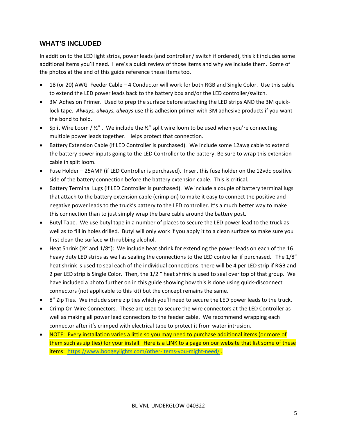#### **WHAT'S INCLUDED**

In addition to the LED light strips, power leads (and controller / switch if ordered), this kit includes some additional items you'll need. Here's a quick review of those items and why we include them. Some of the photos at the end of this guide reference these items too.

- 18 (or 20) AWG Feeder Cable 4 Conductor will work for both RGB and Single Color. Use this cable to extend the LED power leads back to the battery box and/or the LED controller/switch.
- 3M Adhesion Primer. Used to prep the surface before attaching the LED strips AND the 3M quicklock tape. *Always, always, always* use this adhesion primer with 3M adhesive products if you want the bond to hold.
- Split Wire Loom  $/$  ½". We include the  $\frac{1}{2}$ " split wire loom to be used when you're connecting multiple power leads together. Helps protect that connection.
- Battery Extension Cable (if LED Controller is purchased). We include some 12awg cable to extend the battery power inputs going to the LED Controller to the battery. Be sure to wrap this extension cable in split loom.
- Fuse Holder 25AMP (if LED Controller is purchased). Insert this fuse holder on the 12vdc positive side of the battery connection before the battery extension cable. This is critical.
- Battery Terminal Lugs (if LED Controller is purchased). We include a couple of battery terminal lugs that attach to the battery extension cable (crimp on) to make it easy to connect the positive and negative power leads to the truck's battery to the LED controller. It's a much better way to make this connection than to just simply wrap the bare cable around the battery post.
- Butyl Tape. We use butyl tape in a number of places to secure the LED power lead to the truck as well as to fill in holes drilled. Butyl will only work if you apply it to a clean surface so make sure you first clean the surface with rubbing alcohol.
- $\bullet$  Heat Shrink ( $\frac{1}{2}$ " and  $\frac{1}{8}$ "): We include heat shrink for extending the power leads on each of the 16 heavy duty LED strips as well as sealing the connections to the LED controller if purchased. The 1/8" heat shrink is used to seal each of the individual connections; there will be 4 per LED strip if RGB and 2 per LED strip is Single Color. Then, the 1/2 " heat shrink is used to seal over top of that group. We have included a photo further on in this guide showing how this is done using quick-disconnect connectors (not applicable to this kit) but the concept remains the same.
- 8" Zip Ties. We include some zip ties which you'll need to secure the LED power leads to the truck.
- Crimp On Wire Connectors. These are used to secure the wire connectors at the LED Controller as well as making all power lead connectors to the feeder cable. We recommend wrapping each connector after it's crimped with electrical tape to protect it from water intrusion.
- NOTE: Every installation varies a little so you may need to purchase additional items (or more of them such as zip ties) for your install. Here is a LINK to a page on our website that list some of these items: https://www.boogeylights.com/other-items-you-might-need/.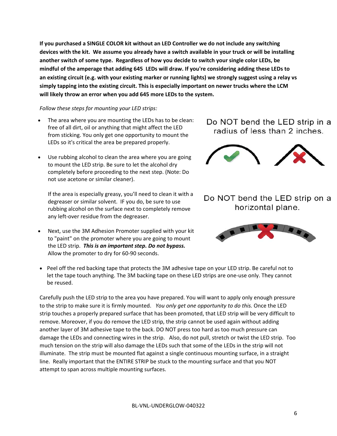**If you purchased a SINGLE COLOR kit without an LED Controller we do not include any switching** devices with the kit. We assume you already have a switch available in your truck or will be installing **another switch of some type. Regardless of how you decide to switch your single color LEDs, be** mindful of the amperage that adding 645 LEDs will draw. If you're considering adding these LEDs to an existing circuit (e.g. with your existing marker or running lights) we strongly suggest using a relay vs **simply tapping into the existing circuit. This is especially important on newer trucks where the LCM will likely throw an error when you add 645 more LEDs to the system.** 

#### *Follow these steps for mounting your LED strips:*

- The area where you are mounting the LEDs has to be clean: free of all dirt, oil or anything that might affect the LED from sticking. You only get one opportunity to mount the LEDs so it's critical the area be prepared properly.
- Use rubbing alcohol to clean the area where you are going to mount the LED strip. Be sure to let the alcohol dry completely before proceeding to the next step. (Note: Do not use acetone or similar cleaner).

If the area is especially greasy, you'll need to clean it with a degreaser or similar solvent. IF you do, be sure to use rubbing alcohol on the surface next to completely remove any left‐over residue from the degreaser.

- Next, use the 3M Adhesion Promoter supplied with your kit to "paint" on the promoter where you are going to mount the LED strip. *This is an important step. Do not bypass.* Allow the promoter to dry for 60‐90 seconds.
- Peel off the red backing tape that protects the 3M adhesive tape on your LED strip. Be careful not to let the tape touch anything. The 3M backing tape on these LED strips are one-use only. They cannot be reused.

Carefully push the LED strip to the area you have prepared. You will want to apply only enough pressure to the strip to make sure it is firmly mounted. *You only get one opportunity to do this.* Once the LED strip touches a properly prepared surface that has been promoted, that LED strip will be very difficult to remove. Moreover, if you do remove the LED strip, the strip cannot be used again without adding another layer of 3M adhesive tape to the back. DO NOT press too hard as too much pressure can damage the LEDs and connecting wires in the strip. Also, do not pull, stretch or twist the LED strip. Too much tension on the strip will also damage the LEDs such that some of the LEDs in the strip will not illuminate. The strip must be mounted flat against a single continuous mounting surface, in a straight line. Really important that the ENTIRE STRIP be stuck to the mounting surface and that you NOT attempt to span across multiple mounting surfaces.

### Do NOT bend the LED strip in a radius of less than 2 inches.



Do NOT bend the LED strip on a horizontal plane.